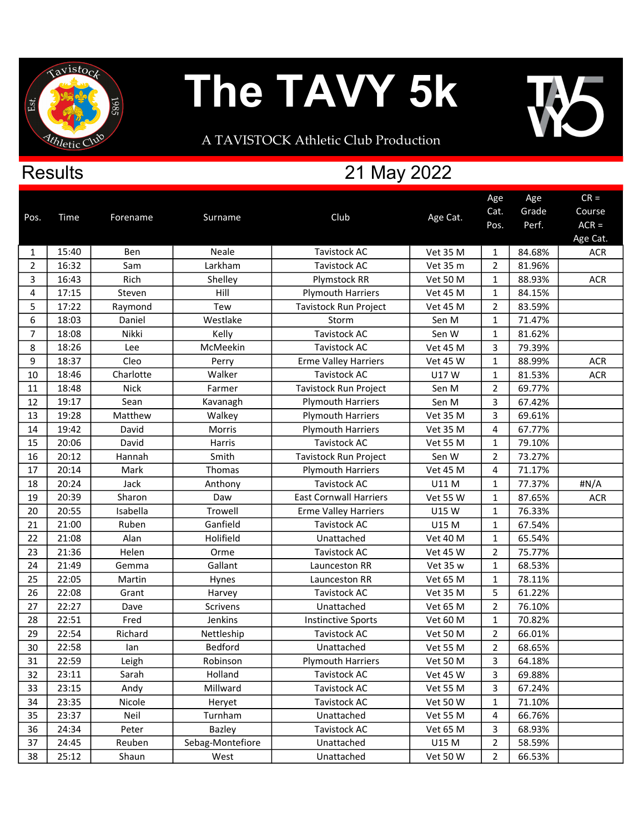

**Results** 

## The TAVY 5k

A TAVISTOCK Athletic Club Production

## 21 May 2022

|                |       |             |                  |                               |                 | Age            | Age    | $CR =$     |
|----------------|-------|-------------|------------------|-------------------------------|-----------------|----------------|--------|------------|
| Pos.           | Time  | Forename    | Surname          | Club                          | Age Cat.        | Cat.           | Grade  | Course     |
|                |       |             |                  |                               |                 | Pos.           | Perf.  | $ACR =$    |
|                |       |             |                  |                               |                 |                |        | Age Cat.   |
| 1              | 15:40 | Ben         | <b>Neale</b>     | <b>Tavistock AC</b>           | Vet 35 M        | $\mathbf{1}$   | 84.68% | <b>ACR</b> |
| $\overline{2}$ | 16:32 | Sam         | Larkham          | <b>Tavistock AC</b>           | Vet 35 m        | $\overline{2}$ | 81.96% |            |
| 3              | 16:43 | Rich        | Shelley          | Plymstock RR                  | <b>Vet 50 M</b> | 1              | 88.93% | <b>ACR</b> |
| 4              | 17:15 | Steven      | Hill             | <b>Plymouth Harriers</b>      | <b>Vet 45 M</b> | $\mathbf{1}$   | 84.15% |            |
| 5              | 17:22 | Raymond     | Tew              | Tavistock Run Project         | <b>Vet 45 M</b> | $\overline{2}$ | 83.59% |            |
| 6              | 18:03 | Daniel      | Westlake         | Storm                         | Sen M           | $\mathbf{1}$   | 71.47% |            |
| $\overline{7}$ | 18:08 | Nikki       | Kelly            | <b>Tavistock AC</b>           | Sen W           | $\mathbf{1}$   | 81.62% |            |
| 8              | 18:26 | Lee         | McMeekin         | <b>Tavistock AC</b>           | <b>Vet 45 M</b> | 3              | 79.39% |            |
| 9              | 18:37 | Cleo        | Perry            | <b>Erme Valley Harriers</b>   | <b>Vet 45 W</b> | 1              | 88.99% | <b>ACR</b> |
| 10             | 18:46 | Charlotte   | Walker           | <b>Tavistock AC</b>           | U17W            | $\mathbf{1}$   | 81.53% | <b>ACR</b> |
| 11             | 18:48 | <b>Nick</b> | Farmer           | Tavistock Run Project         | Sen M           | $\overline{2}$ | 69.77% |            |
| 12             | 19:17 | Sean        | Kavanagh         | <b>Plymouth Harriers</b>      | Sen M           | 3              | 67.42% |            |
| 13             | 19:28 | Matthew     | Walkey           | <b>Plymouth Harriers</b>      | <b>Vet 35 M</b> | 3              | 69.61% |            |
| 14             | 19:42 | David       | Morris           | <b>Plymouth Harriers</b>      | Vet 35 M        | 4              | 67.77% |            |
| 15             | 20:06 | David       | Harris           | <b>Tavistock AC</b>           | <b>Vet 55 M</b> | 1              | 79.10% |            |
| 16             | 20:12 | Hannah      | Smith            | Tavistock Run Project         | Sen W           | $\overline{2}$ | 73.27% |            |
| 17             | 20:14 | Mark        | Thomas           | <b>Plymouth Harriers</b>      | <b>Vet 45 M</b> | 4              | 71.17% |            |
| 18             | 20:24 | Jack        | Anthony          | <b>Tavistock AC</b>           | U11 M           | $\mathbf{1}$   | 77.37% | #N/A       |
| 19             | 20:39 | Sharon      | Daw              | <b>East Cornwall Harriers</b> | <b>Vet 55 W</b> | $\mathbf{1}$   | 87.65% | <b>ACR</b> |
| 20             | 20:55 | Isabella    | Trowell          | <b>Erme Valley Harriers</b>   | U15 W           | 1              | 76.33% |            |
| 21             | 21:00 | Ruben       | Ganfield         | <b>Tavistock AC</b>           | U15 M           | $\mathbf{1}$   | 67.54% |            |
| 22             | 21:08 | Alan        | Holifield        | Unattached                    | <b>Vet 40 M</b> | $\mathbf{1}$   | 65.54% |            |
| 23             | 21:36 | Helen       | Orme             | <b>Tavistock AC</b>           | <b>Vet 45 W</b> | 2              | 75.77% |            |
| 24             | 21:49 | Gemma       | Gallant          | Launceston RR                 | Vet 35 w        | $\mathbf{1}$   | 68.53% |            |
| 25             | 22:05 | Martin      | Hynes            | Launceston RR                 | <b>Vet 65 M</b> | 1              | 78.11% |            |
| 26             | 22:08 | Grant       | Harvey           | <b>Tavistock AC</b>           | <b>Vet 35 M</b> | 5              | 61.22% |            |
| 27             | 22:27 | Dave        | <b>Scrivens</b>  | Unattached                    | <b>Vet 65 M</b> | $\overline{2}$ | 76.10% |            |
| 28             | 22:51 | Fred        | Jenkins          | <b>Instinctive Sports</b>     | <b>Vet 60 M</b> | 1              | 70.82% |            |
| 29             | 22:54 | Richard     | Nettleship       | <b>Tavistock AC</b>           | <b>Vet 50 M</b> | $\overline{2}$ | 66.01% |            |
| 30             | 22:58 | lan         | Bedford          | Unattached                    | <b>Vet 55 M</b> | $\overline{2}$ | 68.65% |            |
| 31             | 22:59 | Leigh       | Robinson         | <b>Plymouth Harriers</b>      | <b>Vet 50 M</b> | 3              | 64.18% |            |
| 32             | 23:11 | Sarah       | Holland          | <b>Tavistock AC</b>           | <b>Vet 45 W</b> | 3              | 69.88% |            |
| 33             | 23:15 | Andy        | Millward         | <b>Tavistock AC</b>           | <b>Vet 55 M</b> | 3              | 67.24% |            |
| 34             | 23:35 | Nicole      | Heryet           | <b>Tavistock AC</b>           | <b>Vet 50 W</b> | 1              | 71.10% |            |
| 35             | 23:37 | Neil        | Turnham          | Unattached                    | Vet 55 M        | 4              | 66.76% |            |
| 36             | 24:34 | Peter       | Bazley           | Tavistock AC                  | <b>Vet 65 M</b> | 3              | 68.93% |            |
| 37             | 24:45 | Reuben      | Sebag-Montefiore | Unattached                    | U15 M           | $\overline{2}$ | 58.59% |            |
| 38             | 25:12 | Shaun       | West             | Unattached                    | <b>Vet 50 W</b> | $\overline{2}$ | 66.53% |            |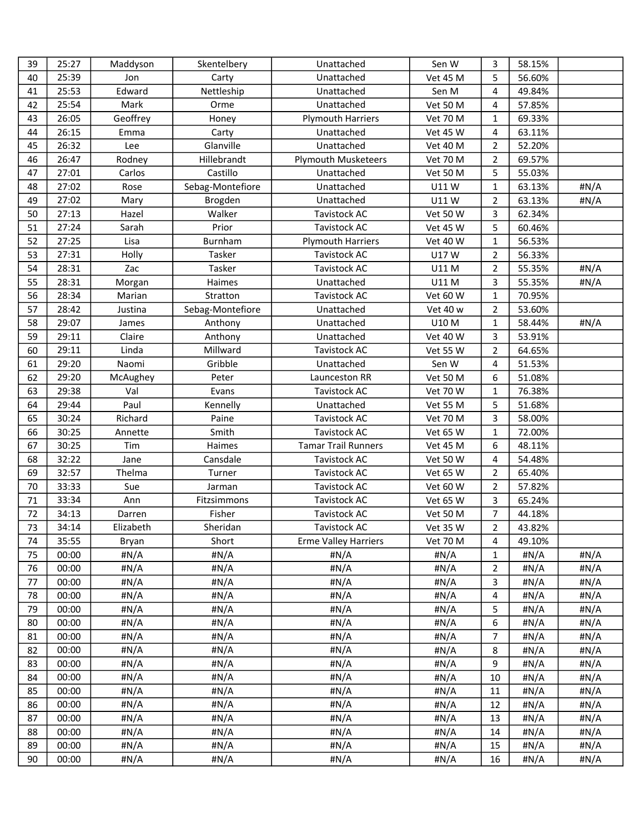| 39 | 25:27 | Maddyson  | Skentelbery      | Unattached                  | Sen W           | 3              | 58.15% |         |
|----|-------|-----------|------------------|-----------------------------|-----------------|----------------|--------|---------|
| 40 | 25:39 | Jon       | Carty            | Unattached                  | <b>Vet 45 M</b> | 5              | 56.60% |         |
| 41 | 25:53 | Edward    | Nettleship       | Unattached                  | Sen M           | 4              | 49.84% |         |
| 42 | 25:54 | Mark      | Orme             | Unattached                  | <b>Vet 50 M</b> | 4              | 57.85% |         |
| 43 | 26:05 | Geoffrey  | Honey            | <b>Plymouth Harriers</b>    | <b>Vet 70 M</b> | 1              | 69.33% |         |
| 44 | 26:15 | Emma      | Carty            | Unattached                  | <b>Vet 45 W</b> | 4              | 63.11% |         |
| 45 | 26:32 | Lee       | Glanville        | Unattached                  | <b>Vet 40 M</b> | $\overline{2}$ | 52.20% |         |
| 46 | 26:47 | Rodney    | Hillebrandt      | <b>Plymouth Musketeers</b>  | <b>Vet 70 M</b> | $\overline{2}$ | 69.57% |         |
| 47 | 27:01 | Carlos    | Castillo         | Unattached                  | <b>Vet 50 M</b> | 5              | 55.03% |         |
| 48 | 27:02 | Rose      | Sebag-Montefiore | Unattached                  | U11W            | $\mathbf{1}$   | 63.13% | #N/A    |
| 49 | 27:02 | Mary      | Brogden          | Unattached                  | U11W            | $\overline{2}$ | 63.13% | #N/A    |
| 50 | 27:13 | Hazel     | Walker           | Tavistock AC                | <b>Vet 50 W</b> | 3              | 62.34% |         |
| 51 | 27:24 | Sarah     | Prior            | <b>Tavistock AC</b>         | Vet 45 W        | 5              | 60.46% |         |
| 52 | 27:25 | Lisa      | Burnham          | <b>Plymouth Harriers</b>    | Vet 40 W        | $\mathbf{1}$   | 56.53% |         |
| 53 | 27:31 | Holly     | Tasker           | <b>Tavistock AC</b>         | U17W            | $\overline{2}$ | 56.33% |         |
| 54 | 28:31 | Zac       | Tasker           | Tavistock AC                | U11 M           | $\overline{2}$ | 55.35% | #N/A    |
| 55 | 28:31 | Morgan    | Haimes           | Unattached                  | U11 M           | 3              | 55.35% | #N/A    |
| 56 | 28:34 | Marian    | Stratton         | <b>Tavistock AC</b>         | Vet 60 W        | $\mathbf{1}$   | 70.95% |         |
| 57 | 28:42 | Justina   | Sebag-Montefiore | Unattached                  | <b>Vet 40 w</b> | $\overline{2}$ | 53.60% |         |
| 58 | 29:07 | James     | Anthony          | Unattached                  | U10 M           | $\mathbf{1}$   | 58.44% | #N/A    |
| 59 | 29:11 | Claire    | Anthony          | Unattached                  | Vet 40 W        | 3              | 53.91% |         |
| 60 | 29:11 | Linda     | Millward         | <b>Tavistock AC</b>         | <b>Vet 55 W</b> | $\overline{2}$ | 64.65% |         |
| 61 | 29:20 | Naomi     | Gribble          | Unattached                  | Sen W           | 4              | 51.53% |         |
| 62 | 29:20 | McAughey  | Peter            | Launceston RR               | <b>Vet 50 M</b> | 6              | 51.08% |         |
| 63 | 29:38 | Val       | Evans            | Tavistock AC                | <b>Vet 70 W</b> | 1              | 76.38% |         |
| 64 | 29:44 | Paul      | Kennelly         | Unattached                  | <b>Vet 55 M</b> | 5              | 51.68% |         |
| 65 | 30:24 | Richard   | Paine            | Tavistock AC                | <b>Vet 70 M</b> | 3              | 58.00% |         |
| 66 | 30:25 | Annette   | Smith            | <b>Tavistock AC</b>         | Vet 65 W        | $\mathbf{1}$   | 72.00% |         |
| 67 | 30:25 | Tim       | Haimes           | <b>Tamar Trail Runners</b>  | <b>Vet 45 M</b> | 6              | 48.11% |         |
| 68 | 32:22 | Jane      | Cansdale         | <b>Tavistock AC</b>         | <b>Vet 50 W</b> | 4              | 54.48% |         |
| 69 | 32:57 | Thelma    | Turner           | Tavistock AC                | Vet 65 W        | $\overline{2}$ | 65.40% |         |
| 70 | 33:33 | Sue       | Jarman           | <b>Tavistock AC</b>         | Vet 60 W        | $\overline{2}$ | 57.82% |         |
| 71 | 33:34 | Ann       | Fitzsimmons      | <b>Tavistock AC</b>         | Vet 65 W        | 3              | 65.24% |         |
| 72 | 34:13 | Darren    | Fisher           | <b>Tavistock AC</b>         | <b>Vet 50 M</b> | $\overline{7}$ | 44.18% |         |
| 73 | 34:14 | Elizabeth | Sheridan         | Tavistock AC                | <b>Vet 35 W</b> | $\overline{2}$ | 43.82% |         |
| 74 | 35:55 | Bryan     | Short            | <b>Erme Valley Harriers</b> | <b>Vet 70 M</b> | 4              | 49.10% |         |
| 75 | 00:00 | #N/A      | #N/A             | #N/A                        | #N/A            | $\mathbf{1}$   | #N/A   | #N/A    |
| 76 | 00:00 | #N/A      | #N/A             | # $N/A$                     | #N/A            | $\overline{2}$ | #N/A   | #N/A    |
| 77 | 00:00 | #N/A      | #N/A             | #N/A                        | #N/A            | 3              | #N/A   | #N/A    |
| 78 | 00:00 | #N/A      | #N/A             | #N/A                        | #N/A            | 4              | #N/A   | #N/A    |
| 79 | 00:00 | # $N/A$   | #N/A             | #N/A                        | #N/A            | 5              | #N/A   | #N/A    |
| 80 | 00:00 | #N/A      | #N/A             | #N/A                        | #N/A            | 6              | #N/A   | # $N/A$ |
| 81 | 00:00 | #N/A      | #N/A             | #N/A                        | #N/A            | 7              | #N/A   | #N/A    |
| 82 | 00:00 | # $N/A$   | #N/A             | #N/A                        | #N/A            | 8              | #N/A   | #N/A    |
| 83 | 00:00 | #N/A      | #N/A             | #N/A                        | #N/A            | 9              | #N/A   | #N/A    |
| 84 | 00:00 | # $N/A$   | #N/A             | #N/A                        | #N/A            | 10             | #N/A   | #N/A    |
| 85 | 00:00 | #N/A      | #N/A             | #N/A                        | #N/A            | 11             | #N/A   | #N/A    |
| 86 | 00:00 | # $N/A$   | #N/A             | #N/A                        | #N/A            | 12             | #N/A   | #N/A    |
| 87 | 00:00 | #N/A      | #N/A             | #N/A                        | #N/A            | 13             | #N/A   | #N/A    |
| 88 | 00:00 | #N/A      | #N/A             | #N/A                        | #N/A            | 14             | #N/A   | #N/A    |
| 89 | 00:00 | #N/A      | #N/A             | #N/A                        | #N/A            | 15             | #N/A   | #N/A    |
| 90 | 00:00 | #N/A      | #N/A             | #N/A                        | #N/A            | 16             | #N/A   | #N/A    |